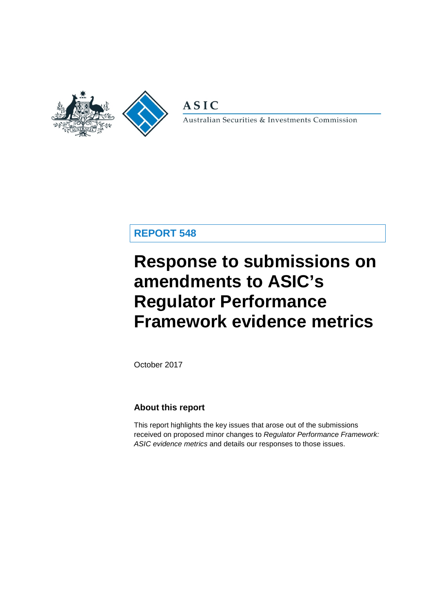

**ASIC** 

Australian Securities & Investments Commission

### **REPORT 548**

# **Response to submissions on amendments to ASIC's Regulator Performance Framework evidence metrics**

October 2017

### **About this report**

This report highlights the key issues that arose out of the submissions received on proposed minor changes to *Regulator Performance Framework: ASIC evidence metrics* and details our responses to those issues.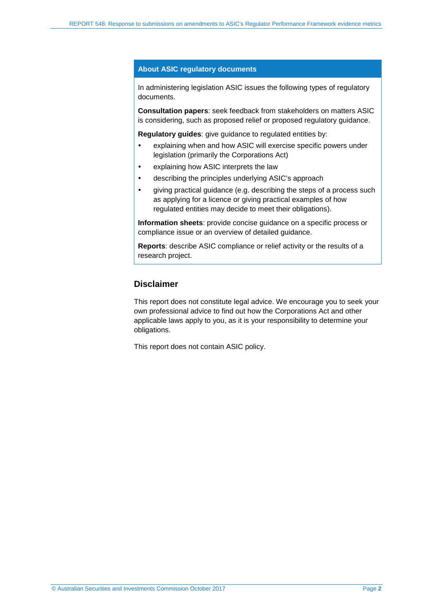#### **About ASIC regulatory documents**

In administering legislation ASIC issues the following types of regulatory documents.

**Consultation papers**: seek feedback from stakeholders on matters ASIC is considering, such as proposed relief or proposed regulatory guidance.

**Regulatory guides**: give guidance to regulated entities by:

- explaining when and how ASIC will exercise specific powers under legislation (primarily the Corporations Act)
- explaining how ASIC interprets the law
- describing the principles underlying ASIC's approach
- giving practical guidance (e.g. describing the steps of a process such as applying for a licence or giving practical examples of how regulated entities may decide to meet their obligations).

**Information sheets**: provide concise guidance on a specific process or compliance issue or an overview of detailed guidance.

**Reports**: describe ASIC compliance or relief activity or the results of a research project.

### **Disclaimer**

This report does not constitute legal advice. We encourage you to seek your own professional advice to find out how the Corporations Act and other applicable laws apply to you, as it is your responsibility to determine your obligations.

This report does not contain ASIC policy.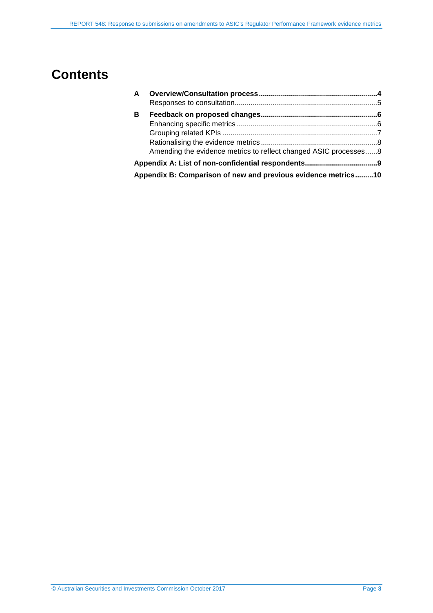## **Contents**

| $\mathbf{A}$ |                                                                  |  |
|--------------|------------------------------------------------------------------|--|
|              |                                                                  |  |
| в            |                                                                  |  |
|              |                                                                  |  |
|              |                                                                  |  |
|              |                                                                  |  |
|              | Amending the evidence metrics to reflect changed ASIC processes8 |  |
|              |                                                                  |  |
|              | Appendix B: Comparison of new and previous evidence metrics10    |  |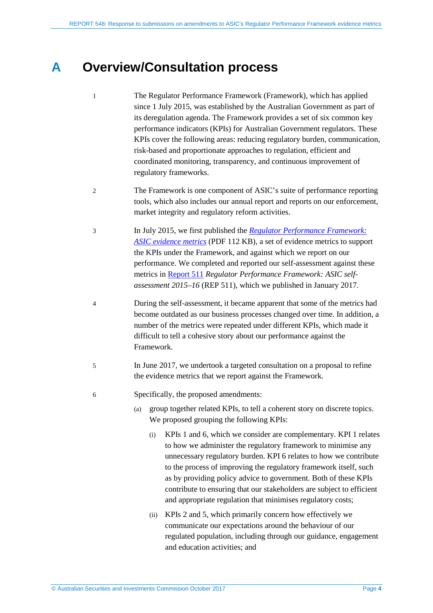## <span id="page-3-0"></span>**A Overview/Consultation process**

- 1 The Regulator Performance Framework (Framework), which has applied since 1 July 2015, was established by the Australian Government as part of its deregulation agenda. The Framework provides a set of six common key performance indicators (KPIs) for Australian Government regulators. These KPIs cover the following areas: reducing regulatory burden, communication, risk-based and proportionate approaches to regulation, efficient and coordinated monitoring, transparency, and continuous improvement of regulatory frameworks.
- 2 The Framework is one component of ASIC's suite of performance reporting tools, which also includes our annual report and reports on our enforcement, market integrity and regulatory reform activities.
- 3 In July 2015, we first published the *[Regulator Performance Framework:](http://download.asic.gov.au/media/3293662/regulator-performance-framework-evidence-metrics-published-10-july-2015.pdf)  [ASIC evidence metrics](http://download.asic.gov.au/media/3293662/regulator-performance-framework-evidence-metrics-published-10-july-2015.pdf)* (PDF 112 KB), a set of evidence metrics to support the KPIs under the Framework, and against which we report on our performance. We completed and reported our self-assessment against these metrics i[n Report 511](http://asic.gov.au/regulatory-resources/find-a-document/reports/rep-511-regulator-performance-framework-asic-self-assessment-2015-16/) *Regulator Performance Framework: ASIC selfassessment 2015–16* (REP 511), which we published in January 2017.
- 4 During the self-assessment, it became apparent that some of the metrics had become outdated as our business processes changed over time. In addition, a number of the metrics were repeated under different KPIs, which made it difficult to tell a cohesive story about our performance against the Framework.
- 5 In June 2017, we undertook a targeted consultation on a proposal to refine the evidence metrics that we report against the Framework.
- 6 Specifically, the proposed amendments:
	- (a) group together related KPIs, to tell a coherent story on discrete topics. We proposed grouping the following KPIs:
		- (i) KPIs 1 and 6, which we consider are complementary. KPI 1 relates to how we administer the regulatory framework to minimise any unnecessary regulatory burden. KPI 6 relates to how we contribute to the process of improving the regulatory framework itself, such as by providing policy advice to government. Both of these KPIs contribute to ensuring that our stakeholders are subject to efficient and appropriate regulation that minimises regulatory costs;
		- (ii) KPIs 2 and 5, which primarily concern how effectively we communicate our expectations around the behaviour of our regulated population, including through our guidance, engagement and education activities; and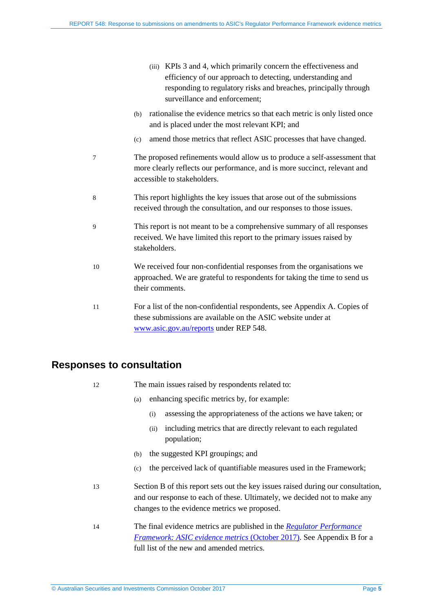- (iii) KPIs 3 and 4, which primarily concern the effectiveness and efficiency of our approach to detecting, understanding and responding to regulatory risks and breaches, principally through surveillance and enforcement;
- (b) rationalise the evidence metrics so that each metric is only listed once and is placed under the most relevant KPI; and
- (c) amend those metrics that reflect ASIC processes that have changed.
- 7 The proposed refinements would allow us to produce a self-assessment that more clearly reflects our performance, and is more succinct, relevant and accessible to stakeholders.
- 8 This report highlights the key issues that arose out of the submissions received through the consultation, and our responses to those issues.
- 9 This report is not meant to be a comprehensive summary of all responses received. We have limited this report to the primary issues raised by stakeholders.
- 10 We received four non-confidential responses from the organisations we approached. We are grateful to respondents for taking the time to send us their comments.
- 11 For a list of the non-confidential respondents, see [Appendix A.](#page-8-0) Copies of these submissions are available on the ASIC website under at [www.asic.gov.au/reports](http://www.asic.gov.au/reports) under REP 548.

### <span id="page-4-0"></span>**Responses to consultation**

- 12 The main issues raised by respondents related to:
	- (a) enhancing specific metrics by, for example:
		- (i) assessing the appropriateness of the actions we have taken; or
		- (ii) including metrics that are directly relevant to each regulated population;
	- (b) the suggested KPI groupings; and
	- (c) the perceived lack of quantifiable measures used in the Framework;
- 13 Section [B](#page-5-0) of this report sets out the key issues raised during our consultation, and our response to each of these. Ultimately, we decided not to make any changes to the evidence metrics we proposed.
- 14 The final evidence metrics are published in the *[Regulator Performance](http://asic.gov.au/about-asic/what-we-do/how-we-operate/performance-and-review/regulator-performance-framework/)  [Framework: ASIC evidence metrics](http://asic.gov.au/about-asic/what-we-do/how-we-operate/performance-and-review/regulator-performance-framework/)* (October 2017). See [Appendix B](#page-9-0) for a full list of the new and amended metrics.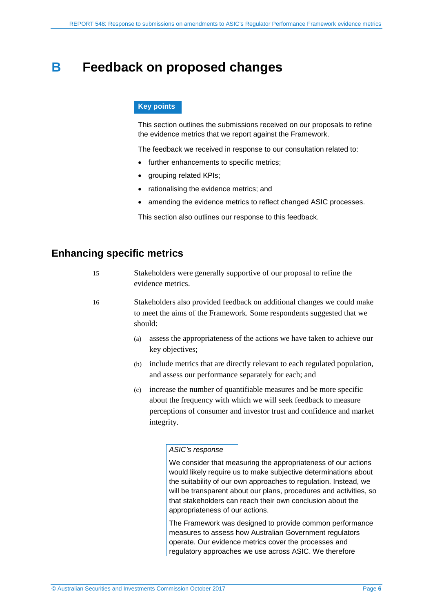## <span id="page-5-0"></span>**B Feedback on proposed changes**

### **Key points**

This section outlines the submissions received on our proposals to refine the evidence metrics that we report against the Framework.

The feedback we received in response to our consultation related to:

- further enhancements to specific metrics;
- grouping related KPIs:
- rationalising the evidence metrics; and
- amending the evidence metrics to reflect changed ASIC processes.

This section also outlines our response to this feedback.

### <span id="page-5-1"></span>**Enhancing specific metrics**

| Stakeholders were generally supportive of our proposal to refine the |
|----------------------------------------------------------------------|
| evidence metrics.                                                    |

16 Stakeholders also provided feedback on additional changes we could make to meet the aims of the Framework. Some respondents suggested that we should:

- (a) assess the appropriateness of the actions we have taken to achieve our key objectives;
- (b) include metrics that are directly relevant to each regulated population, and assess our performance separately for each; and
- (c) increase the number of quantifiable measures and be more specific about the frequency with which we will seek feedback to measure perceptions of consumer and investor trust and confidence and market integrity.

#### *ASIC's response*

We consider that measuring the appropriateness of our actions would likely require us to make subjective determinations about the suitability of our own approaches to regulation. Instead, we will be transparent about our plans, procedures and activities, so that stakeholders can reach their own conclusion about the appropriateness of our actions.

The Framework was designed to provide common performance measures to assess how Australian Government regulators operate. Our evidence metrics cover the processes and regulatory approaches we use across ASIC. We therefore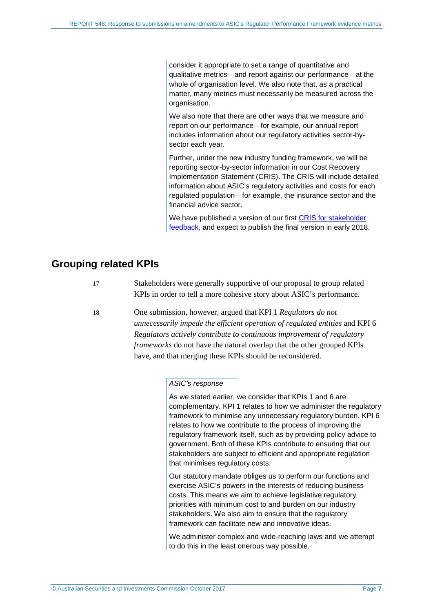consider it appropriate to set a range of quantitative and qualitative metrics—and report against our performance—at the whole of organisation level. We also note that, as a practical matter, many metrics must necessarily be measured across the organisation.

We also note that there are other ways that we measure and report on our performance—for example, our annual report includes information about our regulatory activities sector-bysector each year.

Further, under the new industry funding framework, we will be reporting sector-by-sector information in our Cost Recovery Implementation Statement (CRIS). The CRIS will include detailed information about ASIC's regulatory activities and costs for each regulated population—for example, the insurance sector and the financial advice sector.

We have published a version of our first [CRIS for stakeholder](http://asic.gov.au/about-asic/what-we-do/how-we-operate/asic-industry-funding/cost-recovery-implementation-statement/)  [feedback,](http://asic.gov.au/about-asic/what-we-do/how-we-operate/asic-industry-funding/cost-recovery-implementation-statement/) and expect to publish the final version in early 2018.

### <span id="page-6-0"></span>**Grouping related KPIs**

17 Stakeholders were generally supportive of our proposal to group related KPIs in order to tell a more cohesive story about ASIC's performance.

18 One submission, however, argued that KPI 1 *Regulators do not unnecessarily impede the efficient operation of regulated entities* and KPI 6 *Regulators actively contribute to continuous improvement of regulatory frameworks* do not have the natural overlap that the other grouped KPIs have, and that merging these KPIs should be reconsidered.

#### *ASIC's response*

As we stated earlier, we consider that KPIs 1 and 6 are complementary. KPI 1 relates to how we administer the regulatory framework to minimise any unnecessary regulatory burden. KPI 6 relates to how we contribute to the process of improving the regulatory framework itself, such as by providing policy advice to government. Both of these KPIs contribute to ensuring that our stakeholders are subject to efficient and appropriate regulation that minimises regulatory costs.

Our statutory mandate obliges us to perform our functions and exercise ASIC's powers in the interests of reducing business costs. This means we aim to achieve legislative regulatory priorities with minimum cost to and burden on our industry stakeholders. We also aim to ensure that the regulatory framework can facilitate new and innovative ideas.

We administer complex and wide-reaching laws and we attempt to do this in the least onerous way possible.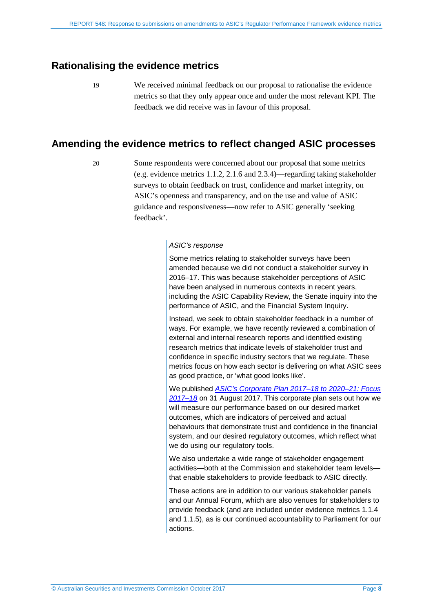### <span id="page-7-0"></span>**Rationalising the evidence metrics**

19 We received minimal feedback on our proposal to rationalise the evidence metrics so that they only appear once and under the most relevant KPI. The feedback we did receive was in favour of this proposal.

### <span id="page-7-1"></span>**Amending the evidence metrics to reflect changed ASIC processes**

20 Some respondents were concerned about our proposal that some metrics (e.g. evidence metrics 1.1.2, 2.1.6 and 2.3.4)—regarding taking stakeholder surveys to obtain feedback on trust, confidence and market integrity, on ASIC's openness and transparency, and on the use and value of ASIC guidance and responsiveness—now refer to ASIC generally 'seeking feedback'.

### *ASIC's response*

Some metrics relating to stakeholder surveys have been amended because we did not conduct a stakeholder survey in 2016–17. This was because stakeholder perceptions of ASIC have been analysed in numerous contexts in recent years, including the ASIC Capability Review, the Senate inquiry into the performance of ASIC, and the Financial System Inquiry.

Instead, we seek to obtain stakeholder feedback in a number of ways. For example, we have recently reviewed a combination of external and internal research reports and identified existing research metrics that indicate levels of stakeholder trust and confidence in specific industry sectors that we regulate. These metrics focus on how each sector is delivering on what ASIC sees as good practice, or 'what good looks like'.

We published *[ASIC's Corporate Plan 2017–18 to 2020–21: Focus](http://asic.gov.au/about-asic/what-we-do/our-role/asics-corporate-plan-2017-18-to-2020-21/)  [2017–18](http://asic.gov.au/about-asic/what-we-do/our-role/asics-corporate-plan-2017-18-to-2020-21/)* on 31 August 2017. This corporate plan sets out how we will measure our performance based on our desired market outcomes, which are indicators of perceived and actual behaviours that demonstrate trust and confidence in the financial system, and our desired regulatory outcomes, which reflect what we do using our regulatory tools.

We also undertake a wide range of stakeholder engagement activities—both at the Commission and stakeholder team levels that enable stakeholders to provide feedback to ASIC directly.

These actions are in addition to our various stakeholder panels and our Annual Forum, which are also venues for stakeholders to provide feedback (and are included under evidence metrics 1.1.4 and 1.1.5), as is our continued accountability to Parliament for our actions.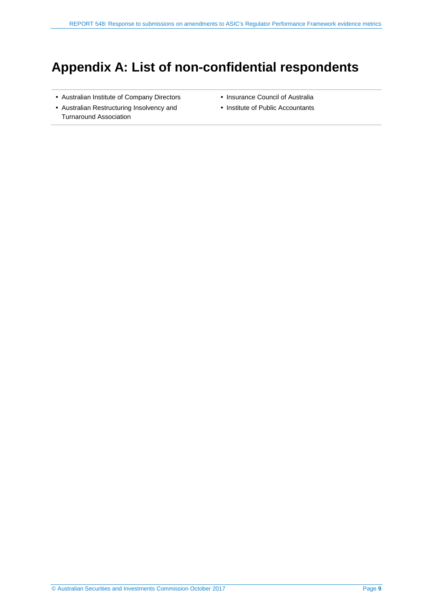## <span id="page-8-0"></span>**Appendix A: List of non-confidential respondents**

- Australian Institute of Company Directors
- Australian Restructuring Insolvency and Turnaround Association
- Insurance Council of Australia
- Institute of Public Accountants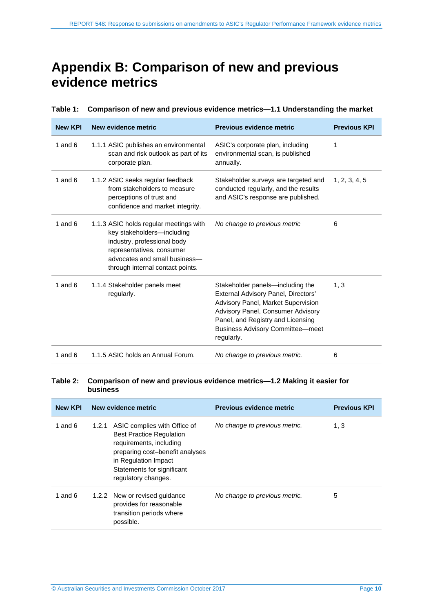## <span id="page-9-0"></span>**Appendix B: Comparison of new and previous evidence metrics**

| <b>New KPI</b> | New evidence metric                                                                                                                                                                                   | Previous evidence metric                                                                                                                                                                                                                                | <b>Previous KPI</b> |
|----------------|-------------------------------------------------------------------------------------------------------------------------------------------------------------------------------------------------------|---------------------------------------------------------------------------------------------------------------------------------------------------------------------------------------------------------------------------------------------------------|---------------------|
| 1 and $6$      | 1.1.1 ASIC publishes an environmental<br>scan and risk outlook as part of its<br>corporate plan.                                                                                                      | ASIC's corporate plan, including<br>environmental scan, is published<br>annually.                                                                                                                                                                       | 1                   |
| 1 and $6$      | 1.1.2 ASIC seeks regular feedback<br>from stakeholders to measure<br>perceptions of trust and<br>confidence and market integrity.                                                                     | Stakeholder surveys are targeted and<br>conducted regularly, and the results<br>and ASIC's response are published.                                                                                                                                      | 1, 2, 3, 4, 5       |
| 1 and $6$      | 1.1.3 ASIC holds regular meetings with<br>key stakeholders-including<br>industry, professional body<br>representatives, consumer<br>advocates and small business-<br>through internal contact points. | No change to previous metric                                                                                                                                                                                                                            | 6                   |
| 1 and $6$      | 1.1.4 Stakeholder panels meet<br>regularly.                                                                                                                                                           | Stakeholder panels—including the<br>External Advisory Panel, Directors'<br><b>Advisory Panel, Market Supervision</b><br>Advisory Panel, Consumer Advisory<br>Panel, and Registry and Licensing<br><b>Business Advisory Committee-meet</b><br>regularly. | 1, 3                |
| 1 and $6$      | 1.1.5 ASIC holds an Annual Forum.                                                                                                                                                                     | No change to previous metric.                                                                                                                                                                                                                           | 6                   |

#### **Table 1: Comparison of new and previous evidence metrics—1.1 Understanding the market**

#### **Table 2: Comparison of new and previous evidence metrics—1.2 Making it easier for business**

| <b>New KPI</b> | New evidence metric                                                                                                                                                                                              | Previous evidence metric      | <b>Previous KPI</b> |
|----------------|------------------------------------------------------------------------------------------------------------------------------------------------------------------------------------------------------------------|-------------------------------|---------------------|
| 1 and $6$      | 1.2.1 ASIC complies with Office of<br><b>Best Practice Regulation</b><br>requirements, including<br>preparing cost-benefit analyses<br>in Regulation Impact<br>Statements for significant<br>regulatory changes. | No change to previous metric. | 1, 3                |
| 1 and $6$      | 1.2.2 New or revised guidance<br>provides for reasonable<br>transition periods where<br>possible.                                                                                                                | No change to previous metric. | 5                   |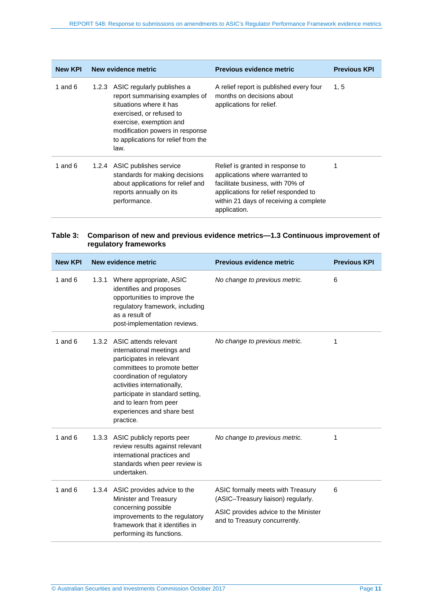| <b>New KPI</b> | New evidence metric                                                                                                                                                                                                                    | Previous evidence metric                                                                                                                                                                                  | <b>Previous KPI</b> |
|----------------|----------------------------------------------------------------------------------------------------------------------------------------------------------------------------------------------------------------------------------------|-----------------------------------------------------------------------------------------------------------------------------------------------------------------------------------------------------------|---------------------|
| 1 and $6$      | 1.2.3 ASIC regularly publishes a<br>report summarising examples of<br>situations where it has<br>exercised, or refused to<br>exercise, exemption and<br>modification powers in response<br>to applications for relief from the<br>law. | A relief report is published every four<br>months on decisions about<br>applications for relief.                                                                                                          | 1, 5                |
| 1 and $6$      | 1.2.4 ASIC publishes service<br>standards for making decisions<br>about applications for relief and<br>reports annually on its<br>performance.                                                                                         | Relief is granted in response to<br>applications where warranted to<br>facilitate business, with 70% of<br>applications for relief responded to<br>within 21 days of receiving a complete<br>application. |                     |

### **Table 3: Comparison of new and previous evidence metrics—1.3 Continuous improvement of regulatory frameworks**

| <b>New KPI</b> |       | New evidence metric                                                                                                                                                                                                                                                                         | Previous evidence metric                                                                                                                         | <b>Previous KPI</b> |
|----------------|-------|---------------------------------------------------------------------------------------------------------------------------------------------------------------------------------------------------------------------------------------------------------------------------------------------|--------------------------------------------------------------------------------------------------------------------------------------------------|---------------------|
| 1 and $6$      | 1.3.1 | Where appropriate, ASIC<br>identifies and proposes<br>opportunities to improve the<br>regulatory framework, including<br>as a result of<br>post-implementation reviews.                                                                                                                     | No change to previous metric.                                                                                                                    | 6                   |
| 1 and $6$      |       | 1.3.2 ASIC attends relevant<br>international meetings and<br>participates in relevant<br>committees to promote better<br>coordination of regulatory<br>activities internationally,<br>participate in standard setting,<br>and to learn from peer<br>experiences and share best<br>practice. | No change to previous metric.                                                                                                                    | 1                   |
| 1 and $6$      |       | 1.3.3 ASIC publicly reports peer<br>review results against relevant<br>international practices and<br>standards when peer review is<br>undertaken.                                                                                                                                          | No change to previous metric.                                                                                                                    | 1                   |
| 1 and $6$      |       | 1.3.4 ASIC provides advice to the<br>Minister and Treasury<br>concerning possible<br>improvements to the regulatory<br>framework that it identifies in<br>performing its functions.                                                                                                         | ASIC formally meets with Treasury<br>(ASIC-Treasury liaison) regularly.<br>ASIC provides advice to the Minister<br>and to Treasury concurrently. | 6                   |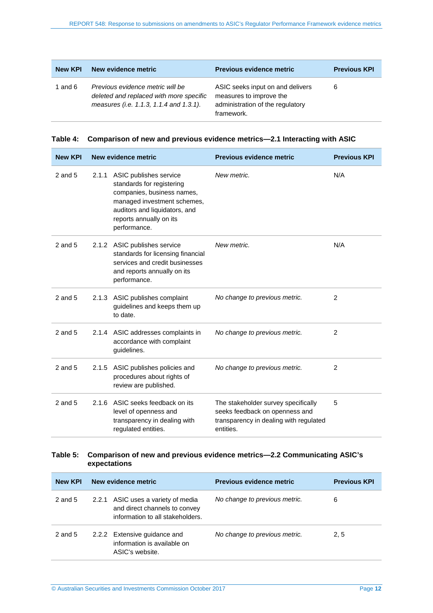| <b>New KPI</b> | New evidence metric                                                                                                    | <b>Previous evidence metric</b>                                                                               | <b>Previous KPI</b> |
|----------------|------------------------------------------------------------------------------------------------------------------------|---------------------------------------------------------------------------------------------------------------|---------------------|
| 1 and $6$      | Previous evidence metric will be<br>deleted and replaced with more specific<br>measures (i.e. 1.1.3, 1.1.4 and 1.3.1). | ASIC seeks input on and delivers<br>measures to improve the<br>administration of the regulatory<br>framework. | 6                   |

|  |  |  |  | Table 4: Comparison of new and previous evidence metrics—2.1 Interacting with ASIC |
|--|--|--|--|------------------------------------------------------------------------------------|
|--|--|--|--|------------------------------------------------------------------------------------|

| <b>New KPI</b> |       | New evidence metric                                                                                                                                                                          | Previous evidence metric                                                                                                     | <b>Previous KPI</b> |
|----------------|-------|----------------------------------------------------------------------------------------------------------------------------------------------------------------------------------------------|------------------------------------------------------------------------------------------------------------------------------|---------------------|
| $2$ and $5$    | 2.1.1 | ASIC publishes service<br>standards for registering<br>companies, business names,<br>managed investment schemes,<br>auditors and liquidators, and<br>reports annually on its<br>performance. | New metric.                                                                                                                  | N/A                 |
| $2$ and $5$    |       | 2.1.2 ASIC publishes service<br>standards for licensing financial<br>services and credit businesses<br>and reports annually on its<br>performance.                                           | New metric.                                                                                                                  | N/A                 |
| $2$ and $5$    |       | 2.1.3 ASIC publishes complaint<br>guidelines and keeps them up<br>to date.                                                                                                                   | No change to previous metric.                                                                                                | 2                   |
| $2$ and $5$    |       | 2.1.4 ASIC addresses complaints in<br>accordance with complaint<br>guidelines.                                                                                                               | No change to previous metric.                                                                                                | 2                   |
| $2$ and $5$    | 2.1.5 | ASIC publishes policies and<br>procedures about rights of<br>review are published.                                                                                                           | No change to previous metric.                                                                                                | 2                   |
| $2$ and $5$    | 2.1.6 | ASIC seeks feedback on its<br>level of openness and<br>transparency in dealing with<br>regulated entities.                                                                                   | The stakeholder survey specifically<br>seeks feedback on openness and<br>transparency in dealing with regulated<br>entities. | 5                   |

#### **Table 5: Comparison of new and previous evidence metrics—2.2 Communicating ASIC's expectations**

| <b>New KPI</b> | New evidence metric                                                                                     | <b>Previous evidence metric</b> | <b>Previous KPI</b> |
|----------------|---------------------------------------------------------------------------------------------------------|---------------------------------|---------------------|
| 2 and $5$      | 2.2.1 ASIC uses a variety of media<br>and direct channels to convey<br>information to all stakeholders. | No change to previous metric.   | 6                   |
| 2 and $5$      | 2.2.2 Extensive guidance and<br>information is available on<br>ASIC's website.                          | No change to previous metric.   | 2, 5                |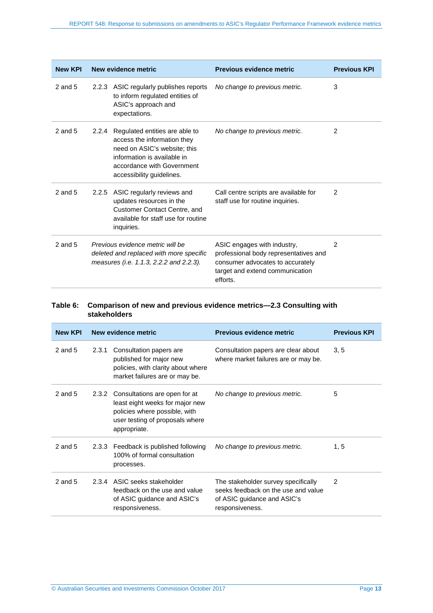| <b>New KPI</b> |                                                                                                                        | New evidence metric                                                                                                                                                                           | Previous evidence metric                                                                                                                                | <b>Previous KPI</b> |
|----------------|------------------------------------------------------------------------------------------------------------------------|-----------------------------------------------------------------------------------------------------------------------------------------------------------------------------------------------|---------------------------------------------------------------------------------------------------------------------------------------------------------|---------------------|
| $2$ and $5$    |                                                                                                                        | 2.2.3 ASIC regularly publishes reports<br>to inform regulated entities of<br>ASIC's approach and<br>expectations.                                                                             | No change to previous metric.                                                                                                                           | 3                   |
| 2 and $5$      |                                                                                                                        | 2.2.4 Regulated entities are able to<br>access the information they<br>need on ASIC's website; this<br>information is available in<br>accordance with Government<br>accessibility guidelines. | No change to previous metric.                                                                                                                           | 2                   |
| $2$ and $5$    |                                                                                                                        | 2.2.5 ASIC regularly reviews and<br>updates resources in the<br>Customer Contact Centre, and<br>available for staff use for routine<br>inquiries.                                             | Call centre scripts are available for<br>staff use for routine inquiries.                                                                               | 2                   |
| $2$ and $5$    | Previous evidence metric will be<br>deleted and replaced with more specific<br>measures (i.e. 1.1.3, 2.2.2 and 2.2.3). |                                                                                                                                                                                               | ASIC engages with industry,<br>professional body representatives and<br>consumer advocates to accurately<br>target and extend communication<br>efforts. | $\overline{2}$      |

### **Table 6: Comparison of new and previous evidence metrics—2.3 Consulting with stakeholders**

| <b>New KPI</b> |       | New evidence metric                                                                                                                                  | <b>Previous evidence metric</b>                                                                                              | <b>Previous KPI</b> |
|----------------|-------|------------------------------------------------------------------------------------------------------------------------------------------------------|------------------------------------------------------------------------------------------------------------------------------|---------------------|
| $2$ and $5$    | 2.3.1 | Consultation papers are<br>published for major new<br>policies, with clarity about where<br>market failures are or may be.                           | Consultation papers are clear about<br>where market failures are or may be.                                                  | 3, 5                |
| 2 and $5$      | 2.3.2 | Consultations are open for at<br>least eight weeks for major new<br>policies where possible, with<br>user testing of proposals where<br>appropriate. | No change to previous metric.                                                                                                | 5                   |
| 2 and $5$      |       | 2.3.3 Feedback is published following<br>100% of formal consultation<br>processes.                                                                   | No change to previous metric.                                                                                                | 1, 5                |
| 2 and $5$      |       | 2.3.4 ASIC seeks stakeholder<br>feedback on the use and value<br>of ASIC guidance and ASIC's<br>responsiveness.                                      | The stakeholder survey specifically<br>seeks feedback on the use and value<br>of ASIC guidance and ASIC's<br>responsiveness. | 2                   |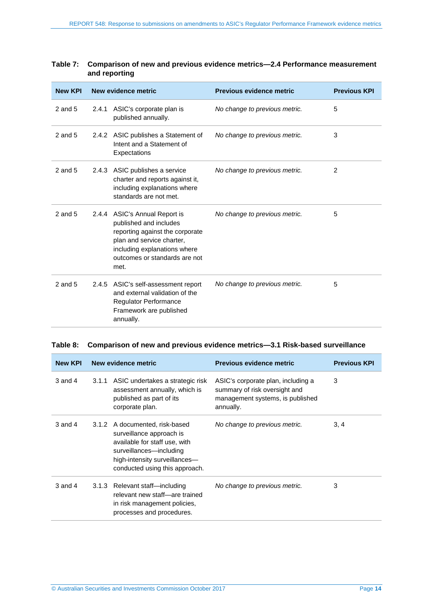| ana roporung   |       |                                                                                                                                                                                                  |                                 |                     |
|----------------|-------|--------------------------------------------------------------------------------------------------------------------------------------------------------------------------------------------------|---------------------------------|---------------------|
| <b>New KPI</b> |       | New evidence metric                                                                                                                                                                              | <b>Previous evidence metric</b> | <b>Previous KPI</b> |
| $2$ and $5$    | 2.4.1 | ASIC's corporate plan is<br>published annually.                                                                                                                                                  | No change to previous metric.   | 5                   |
| $2$ and $5$    |       | 2.4.2 ASIC publishes a Statement of<br>Intent and a Statement of<br>Expectations                                                                                                                 | No change to previous metric.   | 3                   |
| $2$ and $5$    | 2.4.3 | ASIC publishes a service<br>charter and reports against it,<br>including explanations where<br>standards are not met.                                                                            | No change to previous metric.   | 2                   |
| $2$ and $5$    |       | 2.4.4 ASIC's Annual Report is<br>published and includes<br>reporting against the corporate<br>plan and service charter,<br>including explanations where<br>outcomes or standards are not<br>met. | No change to previous metric.   | 5                   |
| $2$ and $5$    | 2.4.5 | ASIC's self-assessment report<br>and external validation of the<br>Regulator Performance<br>Framework are published<br>annually.                                                                 | No change to previous metric.   | 5                   |

### **Table 7: Comparison of new and previous evidence metrics—2.4 Performance measurement and reporting**

#### **Table 8: Comparison of new and previous evidence metrics—3.1 Risk-based surveillance**

| <b>New KPI</b> |       | New evidence metric                                                                                                                                                                       | <b>Previous evidence metric</b>                                                                                      | <b>Previous KPI</b> |
|----------------|-------|-------------------------------------------------------------------------------------------------------------------------------------------------------------------------------------------|----------------------------------------------------------------------------------------------------------------------|---------------------|
| $3$ and $4$    |       | 3.1.1 ASIC undertakes a strategic risk<br>assessment annually, which is<br>published as part of its<br>corporate plan.                                                                    | ASIC's corporate plan, including a<br>summary of risk oversight and<br>management systems, is published<br>annually. | 3                   |
| $3$ and $4$    |       | 3.1.2 A documented, risk-based<br>surveillance approach is<br>available for staff use, with<br>surveillances-including<br>high-intensity surveillances-<br>conducted using this approach. | No change to previous metric.                                                                                        | 3, 4                |
| $3$ and $4$    | 3.1.3 | Relevant staff-including<br>relevant new staff-are trained<br>in risk management policies,<br>processes and procedures.                                                                   | No change to previous metric.                                                                                        | 3                   |